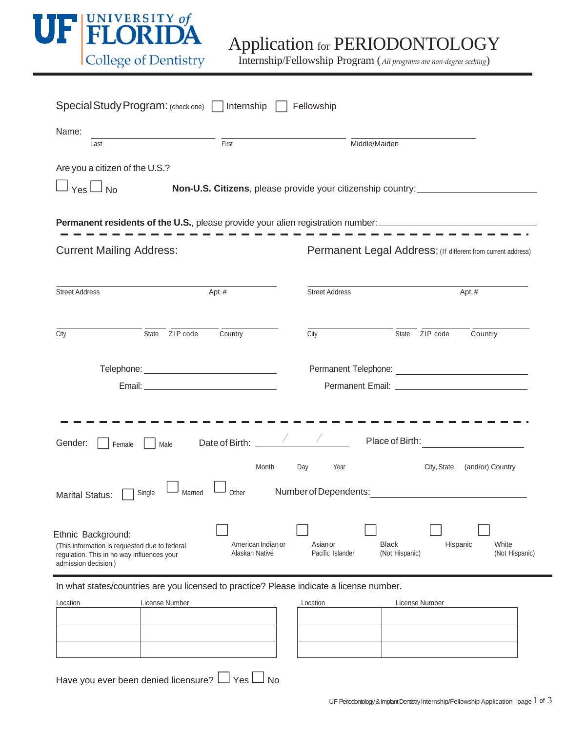

| Special Study Program: (check one) Internship                                                                                                                                     | Fellowship                                                                                            |  |
|-----------------------------------------------------------------------------------------------------------------------------------------------------------------------------------|-------------------------------------------------------------------------------------------------------|--|
| Name:<br>First<br>Last                                                                                                                                                            | Middle/Maiden                                                                                         |  |
| Are you a citizen of the U.S.?<br>$Yes \Box No$                                                                                                                                   | Non-U.S. Citizens, please provide your citizenship country: ____________________                      |  |
| <b>Permanent residents of the U.S.</b> , please provide your alien registration number: ______________________________                                                            |                                                                                                       |  |
| <b>Current Mailing Address:</b>                                                                                                                                                   | Permanent Legal Address: (If different from current address)                                          |  |
| <b>Street Address</b><br>Apt.#                                                                                                                                                    | <b>Street Address</b><br>Apt.#                                                                        |  |
| State ZIP code<br>Country<br>City                                                                                                                                                 | State ZIP code<br>Country<br>City                                                                     |  |
|                                                                                                                                                                                   |                                                                                                       |  |
| Gender:<br>Male<br>Female                                                                                                                                                         | Place of Birth:<br><u> 1980 - Jan Samuel Barbara, político e a f</u>                                  |  |
| Month<br>Married<br>Other<br>Single<br><b>Marital Status:</b>                                                                                                                     | Day<br>City, State<br>(and/or) Country<br>Year<br>Number of Dependents:                               |  |
| Ethnic Background:<br>American Indian or<br>(This information is requested due to federal<br>Alaskan Native<br>regulation. This in no way influences your<br>admission decision.) | <b>Black</b><br>White<br>Asian or<br>Hispanic<br>(Not Hispanic)<br>(Not Hispanic)<br>Pacific Islander |  |

In what states/countries are you licensed to practice? Please indicate a license number.

| Location | License Number | Location | License Number |
|----------|----------------|----------|----------------|
|          |                |          |                |
|          |                |          |                |
|          |                |          |                |
|          |                |          |                |
|          |                |          |                |

| Location<br>License Number |  |  |
|----------------------------|--|--|
|                            |  |  |
|                            |  |  |
|                            |  |  |
|                            |  |  |
|                            |  |  |
|                            |  |  |

Have you ever been denied licensure?  $\Box$  Yes  $\Box$  No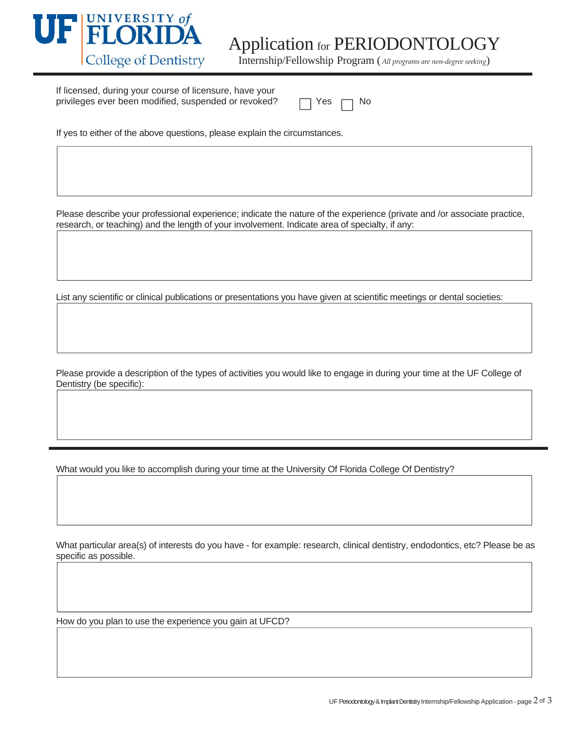

If licensed, during your course of licensure, have your privileges ever been modified, suspended or revoked?

|  |  | N٥ |
|--|--|----|
|--|--|----|

If yes to either of the above questions, please explain the circumstances.

Please describe your professional experience; indicate the nature of the experience (private and /or associate practice, research, or teaching) and the length of your involvement. Indicate area of specialty, if any:

List any scientific or clinical publications or presentations you have given at scientific meetings or dental societies:

Please provide a description of the types of activities you would like to engage in during your time at the UF College of Dentistry (be specific):

What would you like to accomplish during your time at the University Of Florida College Of Dentistry?

What particular area(s) of interests do you have - for example: research, clinical dentistry, endodontics, etc? Please be as specific as possible.

How do you plan to use the experience you gain at UFCD?